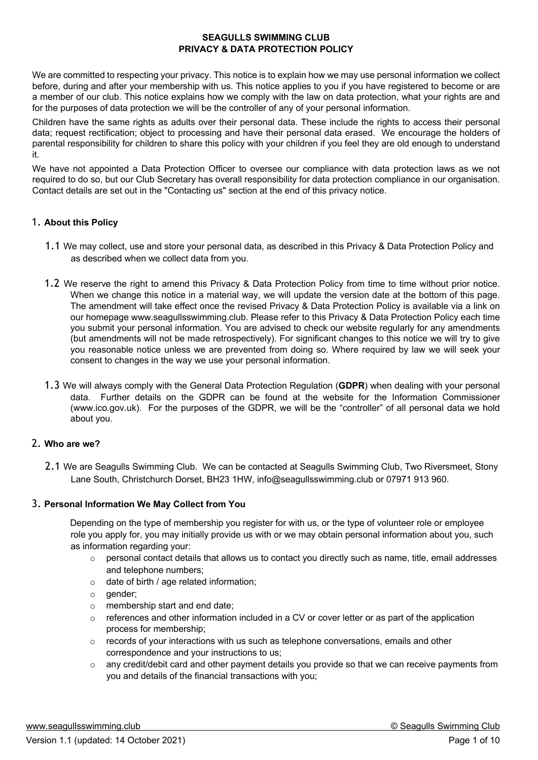#### **SEAGULLS SWIMMING CLUB PRIVACY & DATA PROTECTION POLICY**

We are committed to respecting your privacy. This notice is to explain how we may use personal information we collect before, during and after your membership with us. This notice applies to you if you have registered to become or are a member of our club. This notice explains how we comply with the law on data protection, what your rights are and for the purposes of data protection we will be the controller of any of your personal information.

Children have the same rights as adults over their personal data. These include the rights to access their personal data; request rectification; object to processing and have their personal data erased. We encourage the holders of parental responsibility for children to share this policy with your children if you feel they are old enough to understand it.

We have not appointed a Data Protection Officer to oversee our compliance with data protection laws as we not required to do so, but our Club Secretary has overall responsibility for data protection compliance in our organisation. Contact details are set out in the "Contacting us" section at the end of this privacy notice.

## 1. **About this Policy**

- 1.1 We may collect, use and store your personal data, as described in this Privacy & Data Protection Policy and as described when we collect data from you.
- 1.2 We reserve the right to amend this Privacy & Data Protection Policy from time to time without prior notice. When we change this notice in a material way, we will update the version date at the bottom of this page. The amendment will take effect once the revised Privacy & Data Protection Policy is available via a link on our homepage www.seagullsswimming.club. Please refer to this Privacy & Data Protection Policy each time you submit your personal information. You are advised to check our website regularly for any amendments (but amendments will not be made retrospectively). For significant changes to this notice we will try to give you reasonable notice unless we are prevented from doing so. Where required by law we will seek your consent to changes in the way we use your personal information.
- 1.3 We will always comply with the General Data Protection Regulation (**GDPR**) when dealing with your personal data. Further details on the GDPR can be found at the website for the Information Commissioner (www.ico.gov.uk). For the purposes of the GDPR, we will be the "controller" of all personal data we hold about you.

# 2. **Who are we?**

2.1 We are Seagulls Swimming Club. We can be contacted at Seagulls Swimming Club, Two Riversmeet, Stony Lane South, Christchurch Dorset, BH23 1HW, info@seagullsswimming.club or 07971 913 960.

## 3. **Personal Information We May Collect from You**

Depending on the type of membership you register for with us, or the type of volunteer role or employee role you apply for, you may initially provide us with or we may obtain personal information about you, such as information regarding your:

- o personal contact details that allows us to contact you directly such as name, title, email addresses and telephone numbers;
- o date of birth / age related information;
- o gender;
- o membership start and end date;
- references and other information included in a CV or cover letter or as part of the application process for membership;
- $\circ$  records of your interactions with us such as telephone conversations, emails and other correspondence and your instructions to us;
- o any credit/debit card and other payment details you provide so that we can receive payments from you and details of the financial transactions with you;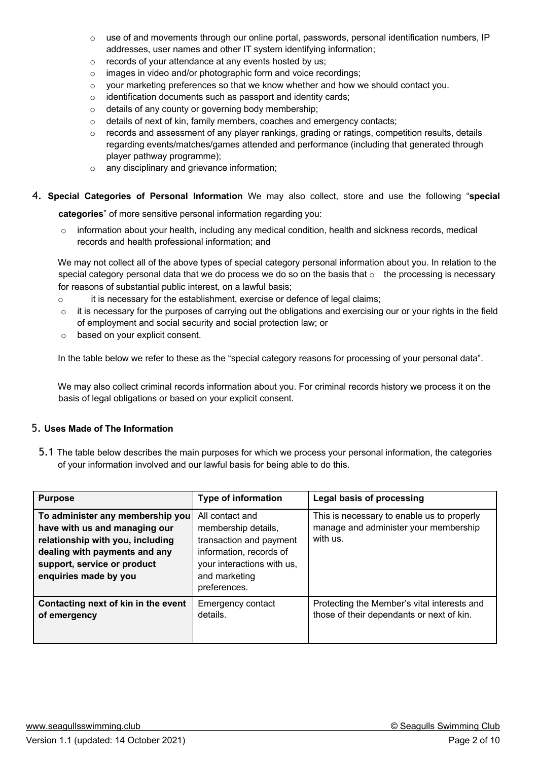- $\circ$  use of and movements through our online portal, passwords, personal identification numbers, IP addresses, user names and other IT system identifying information;
- o records of your attendance at any events hosted by us;
- o images in video and/or photographic form and voice recordings;
- $\circ$  your marketing preferences so that we know whether and how we should contact you.
- o identification documents such as passport and identity cards;
- o details of any county or governing body membership;
- $\circ$  details of next of kin, family members, coaches and emergency contacts;
- o records and assessment of any player rankings, grading or ratings, competition results, details regarding events/matches/games attended and performance (including that generated through player pathway programme);
- o any disciplinary and grievance information;
- 4. **Special Categories of Personal Information** We may also collect, store and use the following "**special**

**categories**" of more sensitive personal information regarding you:

o information about your health, including any medical condition, health and sickness records, medical records and health professional information; and

We may not collect all of the above types of special category personal information about you. In relation to the special category personal data that we do process we do so on the basis that  $\circ$  the processing is necessary for reasons of substantial public interest, on a lawful basis;

- $\circ$  it is necessary for the establishment, exercise or defence of legal claims;
- o it is necessary for the purposes of carrying out the obligations and exercising our or your rights in the field of employment and social security and social protection law; or
- o based on your explicit consent.

In the table below we refer to these as the "special category reasons for processing of your personal data".

We may also collect criminal records information about you. For criminal records history we process it on the basis of legal obligations or based on your explicit consent.

## 5. **Uses Made of The Information**

5.1 The table below describes the main purposes for which we process your personal information, the categories of your information involved and our lawful basis for being able to do this.

| <b>Purpose</b>                                                                                                                                                                                 | <b>Type of information</b>                                                                                                                                  | Legal basis of processing                                                                       |
|------------------------------------------------------------------------------------------------------------------------------------------------------------------------------------------------|-------------------------------------------------------------------------------------------------------------------------------------------------------------|-------------------------------------------------------------------------------------------------|
| To administer any membership you<br>have with us and managing our<br>relationship with you, including<br>dealing with payments and any<br>support, service or product<br>enquiries made by you | All contact and<br>membership details,<br>transaction and payment<br>information, records of<br>your interactions with us,<br>and marketing<br>preferences. | This is necessary to enable us to properly<br>manage and administer your membership<br>with us. |
| Contacting next of kin in the event<br>of emergency                                                                                                                                            | Emergency contact<br>details.                                                                                                                               | Protecting the Member's vital interests and<br>those of their dependants or next of kin.        |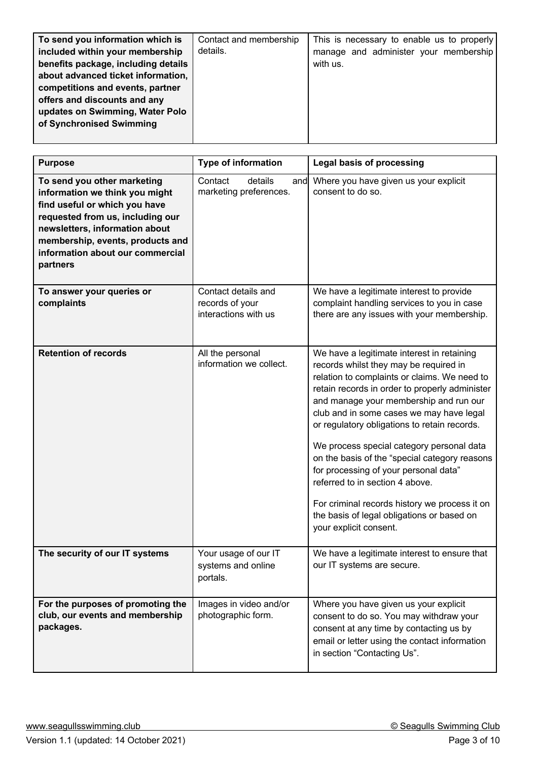| To send you information which is    | Contact and membership | This is necessary to enable us to properly |
|-------------------------------------|------------------------|--------------------------------------------|
| included within your membership     | details.               | manage and administer your membership      |
| benefits package, including details |                        | with us.                                   |
| about advanced ticket information,  |                        |                                            |
| competitions and events, partner    |                        |                                            |
| offers and discounts and any        |                        |                                            |
| updates on Swimming, Water Polo     |                        |                                            |
| of Synchronised Swimming            |                        |                                            |
|                                     |                        |                                            |

| <b>Purpose</b>                                                                                                                                                                                                                                           | <b>Type of information</b>                                     | <b>Legal basis of processing</b>                                                                                                                                                                                                                                                                                                                                                                                                                                                                                                                                                                                                |
|----------------------------------------------------------------------------------------------------------------------------------------------------------------------------------------------------------------------------------------------------------|----------------------------------------------------------------|---------------------------------------------------------------------------------------------------------------------------------------------------------------------------------------------------------------------------------------------------------------------------------------------------------------------------------------------------------------------------------------------------------------------------------------------------------------------------------------------------------------------------------------------------------------------------------------------------------------------------------|
| To send you other marketing<br>information we think you might<br>find useful or which you have<br>requested from us, including our<br>newsletters, information about<br>membership, events, products and<br>information about our commercial<br>partners | Contact<br>details<br>marketing preferences.                   | and Where you have given us your explicit<br>consent to do so.                                                                                                                                                                                                                                                                                                                                                                                                                                                                                                                                                                  |
| To answer your queries or<br>complaints                                                                                                                                                                                                                  | Contact details and<br>records of your<br>interactions with us | We have a legitimate interest to provide<br>complaint handling services to you in case<br>there are any issues with your membership.                                                                                                                                                                                                                                                                                                                                                                                                                                                                                            |
| <b>Retention of records</b>                                                                                                                                                                                                                              | All the personal<br>information we collect.                    | We have a legitimate interest in retaining<br>records whilst they may be required in<br>relation to complaints or claims. We need to<br>retain records in order to properly administer<br>and manage your membership and run our<br>club and in some cases we may have legal<br>or regulatory obligations to retain records.<br>We process special category personal data<br>on the basis of the "special category reasons<br>for processing of your personal data"<br>referred to in section 4 above.<br>For criminal records history we process it on<br>the basis of legal obligations or based on<br>your explicit consent. |
| The security of our IT systems                                                                                                                                                                                                                           | Your usage of our IT<br>systems and online<br>portals.         | We have a legitimate interest to ensure that<br>our IT systems are secure.                                                                                                                                                                                                                                                                                                                                                                                                                                                                                                                                                      |
| For the purposes of promoting the<br>club, our events and membership<br>packages.                                                                                                                                                                        | Images in video and/or<br>photographic form.                   | Where you have given us your explicit<br>consent to do so. You may withdraw your<br>consent at any time by contacting us by<br>email or letter using the contact information<br>in section "Contacting Us".                                                                                                                                                                                                                                                                                                                                                                                                                     |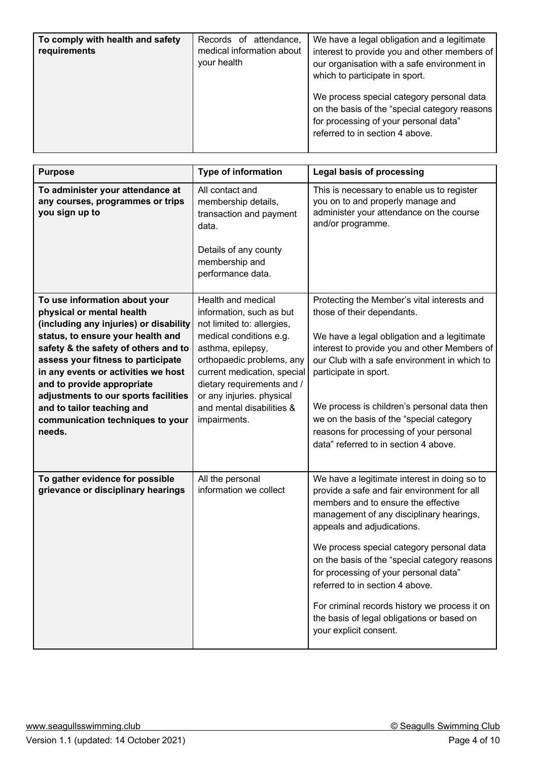| To comply with health and safety<br>requirements | Records of attendance,<br>medical information about<br>your health | We have a legal obligation and a legitimate<br>interest to provide you and other members of<br>our organisation with a safe environment in<br>which to participate in sport. |
|--------------------------------------------------|--------------------------------------------------------------------|------------------------------------------------------------------------------------------------------------------------------------------------------------------------------|
|                                                  |                                                                    | We process special category personal data<br>on the basis of the "special category reasons<br>for processing of your personal data"<br>referred to in section 4 above.       |

| <b>Purpose</b>                                                                                                                                                                                                                                                                                                                                                                                                   | <b>Type of information</b>                                                                                                                                                                                                                                                                       | <b>Legal basis of processing</b>                                                                                                                                                                                                                                                                                                                                                                                                                                                                                |
|------------------------------------------------------------------------------------------------------------------------------------------------------------------------------------------------------------------------------------------------------------------------------------------------------------------------------------------------------------------------------------------------------------------|--------------------------------------------------------------------------------------------------------------------------------------------------------------------------------------------------------------------------------------------------------------------------------------------------|-----------------------------------------------------------------------------------------------------------------------------------------------------------------------------------------------------------------------------------------------------------------------------------------------------------------------------------------------------------------------------------------------------------------------------------------------------------------------------------------------------------------|
| To administer your attendance at<br>any courses, programmes or trips<br>you sign up to                                                                                                                                                                                                                                                                                                                           | All contact and<br>membership details,<br>transaction and payment<br>data.<br>Details of any county<br>membership and<br>performance data.                                                                                                                                                       | This is necessary to enable us to register<br>you on to and properly manage and<br>administer your attendance on the course<br>and/or programme.                                                                                                                                                                                                                                                                                                                                                                |
| To use information about your<br>physical or mental health<br>(including any injuries) or disability<br>status, to ensure your health and<br>safety & the safety of others and to<br>assess your fitness to participate<br>in any events or activities we host<br>and to provide appropriate<br>adjustments to our sports facilities<br>and to tailor teaching and<br>communication techniques to your<br>needs. | Health and medical<br>information, such as but<br>not limited to: allergies,<br>medical conditions e.g.<br>asthma, epilepsy,<br>orthopaedic problems, any<br>current medication, special<br>dietary requirements and /<br>or any injuries. physical<br>and mental disabilities &<br>impairments. | Protecting the Member's vital interests and<br>those of their dependants.<br>We have a legal obligation and a legitimate<br>interest to provide you and other Members of<br>our Club with a safe environment in which to<br>participate in sport.<br>We process is children's personal data then<br>we on the basis of the "special category<br>reasons for processing of your personal<br>data" referred to in section 4 above.                                                                                |
| To gather evidence for possible<br>grievance or disciplinary hearings                                                                                                                                                                                                                                                                                                                                            | All the personal<br>information we collect                                                                                                                                                                                                                                                       | We have a legitimate interest in doing so to<br>provide a safe and fair environment for all<br>members and to ensure the effective<br>management of any disciplinary hearings,<br>appeals and adjudications.<br>We process special category personal data<br>on the basis of the "special category reasons<br>for processing of your personal data"<br>referred to in section 4 above.<br>For criminal records history we process it on<br>the basis of legal obligations or based on<br>your explicit consent. |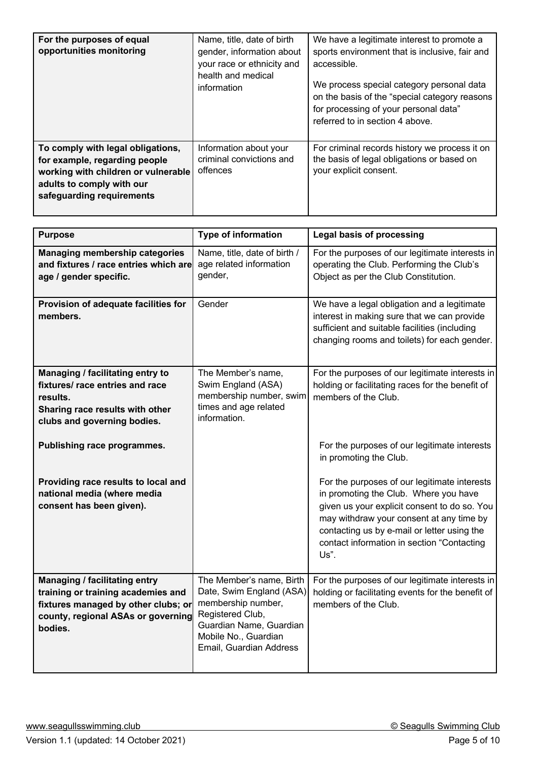| For the purposes of equal<br>opportunities monitoring                                                                                                               | Name, title, date of birth<br>gender, information about<br>your race or ethnicity and<br>health and medical<br>information | We have a legitimate interest to promote a<br>sports environment that is inclusive, fair and<br>accessible.<br>We process special category personal data<br>on the basis of the "special category reasons<br>for processing of your personal data"<br>referred to in section 4 above. |
|---------------------------------------------------------------------------------------------------------------------------------------------------------------------|----------------------------------------------------------------------------------------------------------------------------|---------------------------------------------------------------------------------------------------------------------------------------------------------------------------------------------------------------------------------------------------------------------------------------|
| To comply with legal obligations,<br>for example, regarding people<br>working with children or vulnerable<br>adults to comply with our<br>safeguarding requirements | Information about your<br>criminal convictions and<br>offences                                                             | For criminal records history we process it on<br>the basis of legal obligations or based on<br>your explicit consent.                                                                                                                                                                 |

| <b>Purpose</b>                                                                                                                                              | Type of information                                                                                                                                                          | <b>Legal basis of processing</b>                                                                                                                                                                                                                                                       |
|-------------------------------------------------------------------------------------------------------------------------------------------------------------|------------------------------------------------------------------------------------------------------------------------------------------------------------------------------|----------------------------------------------------------------------------------------------------------------------------------------------------------------------------------------------------------------------------------------------------------------------------------------|
| <b>Managing membership categories</b><br>and fixtures / race entries which are<br>age / gender specific.                                                    | Name, title, date of birth /<br>age related information<br>gender,                                                                                                           | For the purposes of our legitimate interests in<br>operating the Club. Performing the Club's<br>Object as per the Club Constitution.                                                                                                                                                   |
| Provision of adequate facilities for<br>members.                                                                                                            | Gender                                                                                                                                                                       | We have a legal obligation and a legitimate<br>interest in making sure that we can provide<br>sufficient and suitable facilities (including<br>changing rooms and toilets) for each gender.                                                                                            |
| Managing / facilitating entry to<br>fixtures/ race entries and race<br>results.<br>Sharing race results with other<br>clubs and governing bodies.           | The Member's name,<br>Swim England (ASA)<br>membership number, swim<br>times and age related<br>information.                                                                 | For the purposes of our legitimate interests in<br>holding or facilitating races for the benefit of<br>members of the Club.                                                                                                                                                            |
| Publishing race programmes.                                                                                                                                 |                                                                                                                                                                              | For the purposes of our legitimate interests<br>in promoting the Club.                                                                                                                                                                                                                 |
| Providing race results to local and<br>national media (where media<br>consent has been given).                                                              |                                                                                                                                                                              | For the purposes of our legitimate interests<br>in promoting the Club. Where you have<br>given us your explicit consent to do so. You<br>may withdraw your consent at any time by<br>contacting us by e-mail or letter using the<br>contact information in section "Contacting<br>Us". |
| Managing / facilitating entry<br>training or training academies and<br>fixtures managed by other clubs; or<br>county, regional ASAs or governing<br>bodies. | The Member's name, Birth<br>Date, Swim England (ASA)<br>membership number,<br>Registered Club,<br>Guardian Name, Guardian<br>Mobile No., Guardian<br>Email, Guardian Address | For the purposes of our legitimate interests in<br>holding or facilitating events for the benefit of<br>members of the Club.                                                                                                                                                           |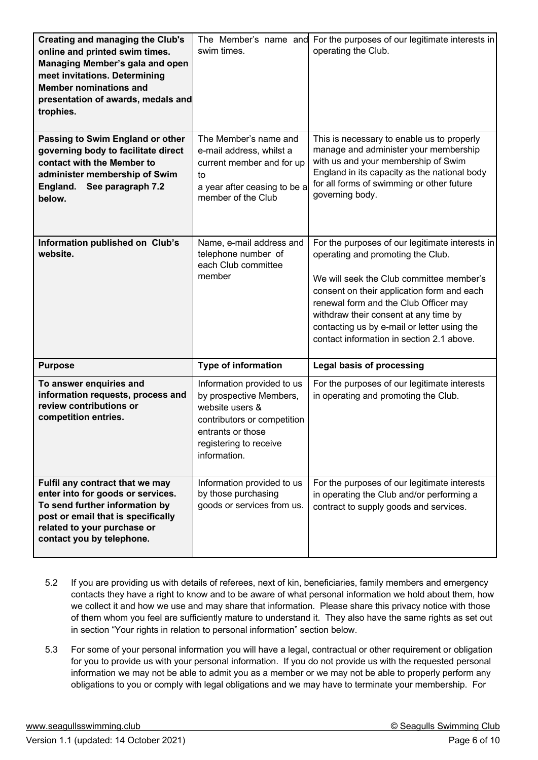| <b>Creating and managing the Club's</b><br>online and printed swim times.<br>Managing Member's gala and open<br>meet invitations. Determining<br><b>Member nominations and</b><br>presentation of awards, medals and<br>trophies. | The Member's name and<br>swim times.                                                                                                                                   | For the purposes of our legitimate interests in<br>operating the Club.                                                                                                                                                                                                                                                                                       |
|-----------------------------------------------------------------------------------------------------------------------------------------------------------------------------------------------------------------------------------|------------------------------------------------------------------------------------------------------------------------------------------------------------------------|--------------------------------------------------------------------------------------------------------------------------------------------------------------------------------------------------------------------------------------------------------------------------------------------------------------------------------------------------------------|
| Passing to Swim England or other<br>governing body to facilitate direct<br>contact with the Member to<br>administer membership of Swim<br>England.<br>See paragraph 7.2<br>below.                                                 | The Member's name and<br>e-mail address, whilst a<br>current member and for up<br>to<br>a year after ceasing to be a<br>member of the Club                             | This is necessary to enable us to properly<br>manage and administer your membership<br>with us and your membership of Swim<br>England in its capacity as the national body<br>for all forms of swimming or other future<br>governing body.                                                                                                                   |
| Information published on Club's<br>website.                                                                                                                                                                                       | Name, e-mail address and<br>telephone number of<br>each Club committee<br>member                                                                                       | For the purposes of our legitimate interests in<br>operating and promoting the Club.<br>We will seek the Club committee member's<br>consent on their application form and each<br>renewal form and the Club Officer may<br>withdraw their consent at any time by<br>contacting us by e-mail or letter using the<br>contact information in section 2.1 above. |
| <b>Purpose</b>                                                                                                                                                                                                                    | <b>Type of information</b>                                                                                                                                             | <b>Legal basis of processing</b>                                                                                                                                                                                                                                                                                                                             |
| To answer enquiries and<br>information requests, process and<br>review contributions or<br>competition entries.                                                                                                                   | Information provided to us<br>by prospective Members,<br>website users &<br>contributors or competition<br>entrants or those<br>registering to receive<br>information. | For the purposes of our legitimate interests<br>in operating and promoting the Club.                                                                                                                                                                                                                                                                         |
| Fulfil any contract that we may<br>enter into for goods or services.<br>To send further information by<br>post or email that is specifically<br>related to your purchase or<br>contact you by telephone.                          | Information provided to us<br>by those purchasing<br>goods or services from us.                                                                                        | For the purposes of our legitimate interests<br>in operating the Club and/or performing a<br>contract to supply goods and services.                                                                                                                                                                                                                          |

- 5.2 If you are providing us with details of referees, next of kin, beneficiaries, family members and emergency contacts they have a right to know and to be aware of what personal information we hold about them, how we collect it and how we use and may share that information. Please share this privacy notice with those of them whom you feel are sufficiently mature to understand it. They also have the same rights as set out in section "Your rights in relation to personal information" section below.
- 5.3 For some of your personal information you will have a legal, contractual or other requirement or obligation for you to provide us with your personal information. If you do not provide us with the requested personal information we may not be able to admit you as a member or we may not be able to properly perform any obligations to you or comply with legal obligations and we may have to terminate your membership. For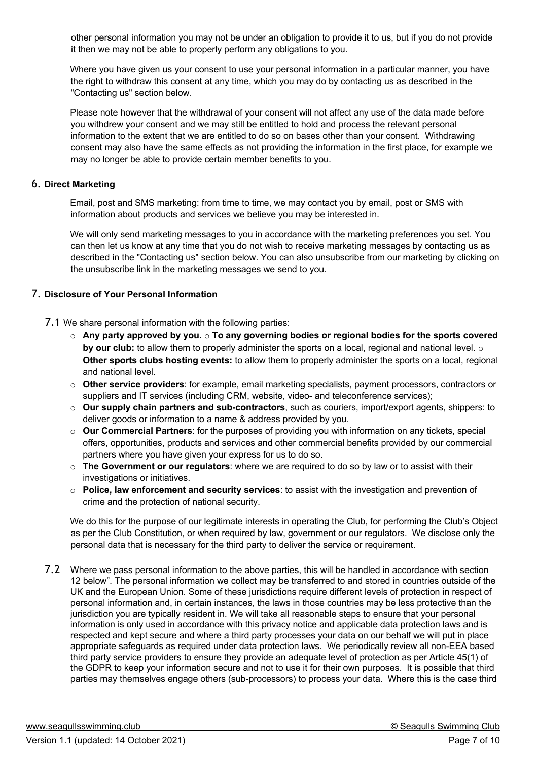other personal information you may not be under an obligation to provide it to us, but if you do not provide it then we may not be able to properly perform any obligations to you.

Where you have given us your consent to use your personal information in a particular manner, you have the right to withdraw this consent at any time, which you may do by contacting us as described in the "Contacting us" section below.

Please note however that the withdrawal of your consent will not affect any use of the data made before you withdrew your consent and we may still be entitled to hold and process the relevant personal information to the extent that we are entitled to do so on bases other than your consent. Withdrawing consent may also have the same effects as not providing the information in the first place, for example we may no longer be able to provide certain member benefits to you.

### 6. **Direct Marketing**

Email, post and SMS marketing: from time to time, we may contact you by email, post or SMS with information about products and services we believe you may be interested in.

We will only send marketing messages to you in accordance with the marketing preferences you set. You can then let us know at any time that you do not wish to receive marketing messages by contacting us as described in the "Contacting us" section below. You can also unsubscribe from our marketing by clicking on the unsubscribe link in the marketing messages we send to you.

### 7. **Disclosure of Your Personal Information**

7.1 We share personal information with the following parties:

- o **Any party approved by you.** o **To any governing bodies or regional bodies for the sports covered by our club:** to allow them to properly administer the sports on a local, regional and national level.  $\circ$ **Other sports clubs hosting events:** to allow them to properly administer the sports on a local, regional and national level.
- o **Other service providers**: for example, email marketing specialists, payment processors, contractors or suppliers and IT services (including CRM, website, video- and teleconference services);
- o **Our supply chain partners and sub-contractors**, such as couriers, import/export agents, shippers: to deliver goods or information to a name & address provided by you.
- o **Our Commercial Partners**: for the purposes of providing you with information on any tickets, special offers, opportunities, products and services and other commercial benefits provided by our commercial partners where you have given your express for us to do so.
- o **The Government or our regulators**: where we are required to do so by law or to assist with their investigations or initiatives.
- o **Police, law enforcement and security services**: to assist with the investigation and prevention of crime and the protection of national security.

We do this for the purpose of our legitimate interests in operating the Club, for performing the Club's Object as per the Club Constitution, or when required by law, government or our regulators. We disclose only the personal data that is necessary for the third party to deliver the service or requirement.

7.2 Where we pass personal information to the above parties, this will be handled in accordance with section 12 below". The personal information we collect may be transferred to and stored in countries outside of the UK and the European Union. Some of these jurisdictions require different levels of protection in respect of personal information and, in certain instances, the laws in those countries may be less protective than the jurisdiction you are typically resident in. We will take all reasonable steps to ensure that your personal information is only used in accordance with this privacy notice and applicable data protection laws and is respected and kept secure and where a third party processes your data on our behalf we will put in place appropriate safeguards as required under data protection laws. We periodically review all non-EEA based third party service providers to ensure they provide an adequate level of protection as per Article 45(1) of the GDPR to keep your information secure and not to use it for their own purposes. It is possible that third parties may themselves engage others (sub-processors) to process your data. Where this is the case third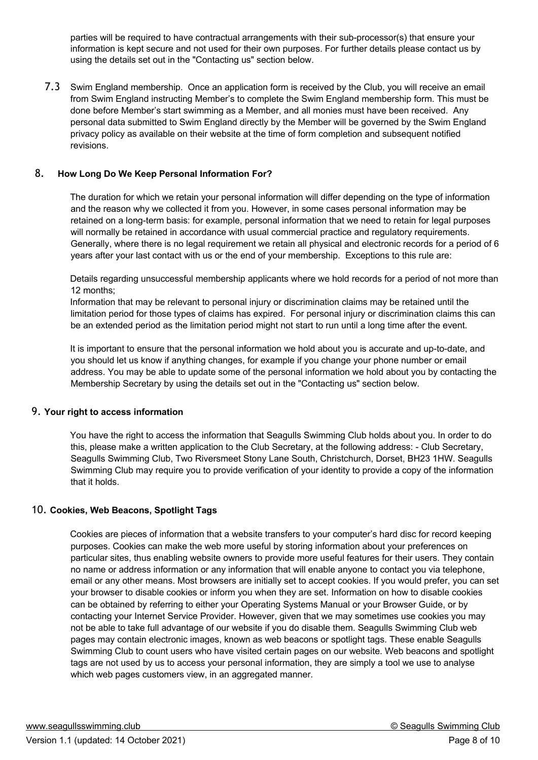parties will be required to have contractual arrangements with their sub-processor(s) that ensure your information is kept secure and not used for their own purposes. For further details please contact us by using the details set out in the "Contacting us" section below.

7.3 Swim England membership. Once an application form is received by the Club, you will receive an email from Swim England instructing Member's to complete the Swim England membership form. This must be done before Member's start swimming as a Member, and all monies must have been received. Any personal data submitted to Swim England directly by the Member will be governed by the Swim England privacy policy as available on their website at the time of form completion and subsequent notified revisions.

## 8. **How Long Do We Keep Personal Information For?**

The duration for which we retain your personal information will differ depending on the type of information and the reason why we collected it from you. However, in some cases personal information may be retained on a long-term basis: for example, personal information that we need to retain for legal purposes will normally be retained in accordance with usual commercial practice and regulatory requirements. Generally, where there is no legal requirement we retain all physical and electronic records for a period of 6 years after your last contact with us or the end of your membership. Exceptions to this rule are:

Details regarding unsuccessful membership applicants where we hold records for a period of not more than 12 months;

Information that may be relevant to personal injury or discrimination claims may be retained until the limitation period for those types of claims has expired. For personal injury or discrimination claims this can be an extended period as the limitation period might not start to run until a long time after the event.

It is important to ensure that the personal information we hold about you is accurate and up-to-date, and you should let us know if anything changes, for example if you change your phone number or email address. You may be able to update some of the personal information we hold about you by contacting the Membership Secretary by using the details set out in the "Contacting us" section below.

#### 9. **Your right to access information**

You have the right to access the information that Seagulls Swimming Club holds about you. In order to do this, please make a written application to the Club Secretary, at the following address: - Club Secretary, Seagulls Swimming Club, Two Riversmeet Stony Lane South, Christchurch, Dorset, BH23 1HW. Seagulls Swimming Club may require you to provide verification of your identity to provide a copy of the information that it holds.

## 10. **Cookies, Web Beacons, Spotlight Tags**

Cookies are pieces of information that a website transfers to your computer's hard disc for record keeping purposes. Cookies can make the web more useful by storing information about your preferences on particular sites, thus enabling website owners to provide more useful features for their users. They contain no name or address information or any information that will enable anyone to contact you via telephone, email or any other means. Most browsers are initially set to accept cookies. If you would prefer, you can set your browser to disable cookies or inform you when they are set. Information on how to disable cookies can be obtained by referring to either your Operating Systems Manual or your Browser Guide, or by contacting your Internet Service Provider. However, given that we may sometimes use cookies you may not be able to take full advantage of our website if you do disable them. Seagulls Swimming Club web pages may contain electronic images, known as web beacons or spotlight tags. These enable Seagulls Swimming Club to count users who have visited certain pages on our website. Web beacons and spotlight tags are not used by us to access your personal information, they are simply a tool we use to analyse which web pages customers view, in an aggregated manner.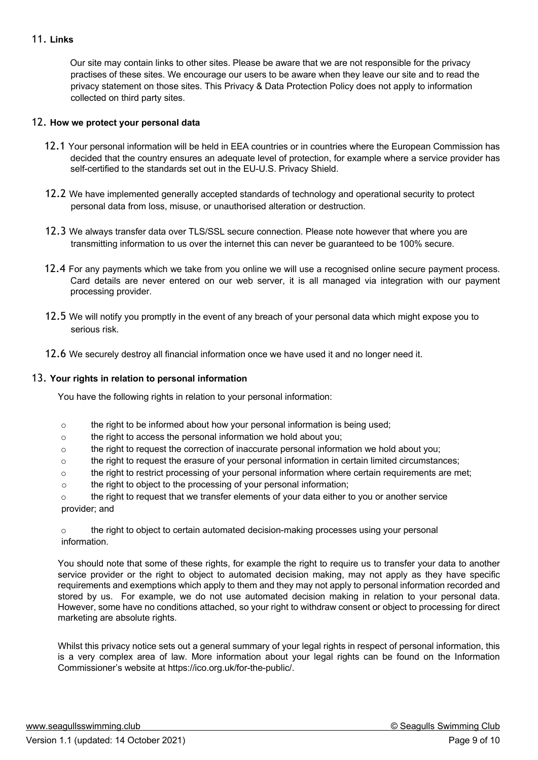### 11. **Links**

Our site may contain links to other sites. Please be aware that we are not responsible for the privacy practises of these sites. We encourage our users to be aware when they leave our site and to read the privacy statement on those sites. This Privacy & Data Protection Policy does not apply to information collected on third party sites.

### 12. **How we protect your personal data**

- 12.1 Your personal information will be held in EEA countries or in countries where the European Commission has decided that the country ensures an adequate level of protection, for example where a service provider has self-certified to the standards set out in the EU-U.S. Privacy Shield.
- 12.2 We have implemented generally accepted standards of technology and operational security to protect personal data from loss, misuse, or unauthorised alteration or destruction.
- 12.3 We always transfer data over TLS/SSL secure connection. Please note however that where you are transmitting information to us over the internet this can never be guaranteed to be 100% secure.
- 12.4 For any payments which we take from you online we will use a recognised online secure payment process. Card details are never entered on our web server, it is all managed via integration with our payment processing provider.
- 12.5 We will notify you promptly in the event of any breach of your personal data which might expose you to serious risk.
- 12.6 We securely destroy all financial information once we have used it and no longer need it.

#### 13. **Your rights in relation to personal information**

You have the following rights in relation to your personal information:

- $\circ$  the right to be informed about how your personal information is being used;
- o the right to access the personal information we hold about you;
- o the right to request the correction of inaccurate personal information we hold about you;
- o the right to request the erasure of your personal information in certain limited circumstances;
- o the right to restrict processing of your personal information where certain requirements are met;
- o the right to object to the processing of your personal information;

 $\circ$  the right to request that we transfer elements of your data either to you or another service provider; and

o the right to object to certain automated decision-making processes using your personal information.

You should note that some of these rights, for example the right to require us to transfer your data to another service provider or the right to object to automated decision making, may not apply as they have specific requirements and exemptions which apply to them and they may not apply to personal information recorded and stored by us. For example, we do not use automated decision making in relation to your personal data. However, some have no conditions attached, so your right to withdraw consent or object to processing for direct marketing are absolute rights.

Whilst this privacy notice sets out a general summary of your legal rights in respect of personal information, this is a very complex area of law. More information about your legal rights can be found on the Information Commissioner's website at https://ico.org.uk/for-the-public/.

www.seagullsswimming.club **Washington Club Contract Club Contract Club Contract Club Contract Club Club Club Club Club Club Club Club Club Club Club Club Club Club Club Club Club C**